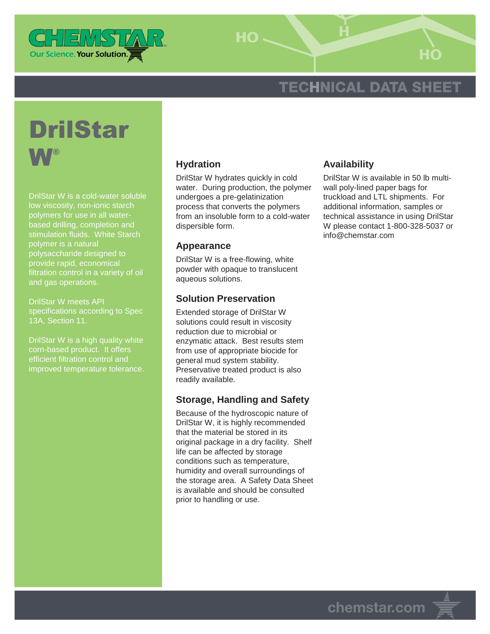

HO-

# **TECHNICAL DATA SHEET**



DrilStar W is a cold-water soluble low viscosity, non-ionic starch based drilling, completion and stimulation fluids. White Starch polymer is a natural polysaccharide designed to provide rapid, economical filtration control in a variety of oil and gas operations.

DrilStar W meets API specifications according to Spec 13A, Section 11.

DrilStar W is a high quality white corn-based product. It offers efficient filtration control and improved temperature tolerance.

## **Hydration**

DrilStar W hydrates quickly in cold water. During production, the polymer undergoes a pre-gelatinization process that converts the polymers from an insoluble form to a cold-water dispersible form.

#### **Appearance**

DrilStar W is a free-flowing, white powder with opaque to translucent aqueous solutions.

### **Solution Preservation**

Extended storage of DrilStar W solutions could result in viscosity reduction due to microbial or enzymatic attack. Best results stem from use of appropriate biocide for general mud system stability. Preservative treated product is also readily available.

### **Storage, Handling and Safety**

Because of the hydroscopic nature of DrilStar W, it is highly recommended that the material be stored in its original package in a dry facility. Shelf life can be affected by storage conditions such as temperature, humidity and overall surroundings of the storage area. A Safety Data Sheet is available and should be consulted prior to handling or use.

### **Availability**

DrilStar W is available in 50 lb multiwall poly-lined paper bags for truckload and LTL shipments. For additional information, samples or technical assistance in using DrilStar W please contact 1-800-328-5037 or info@chemstar.com